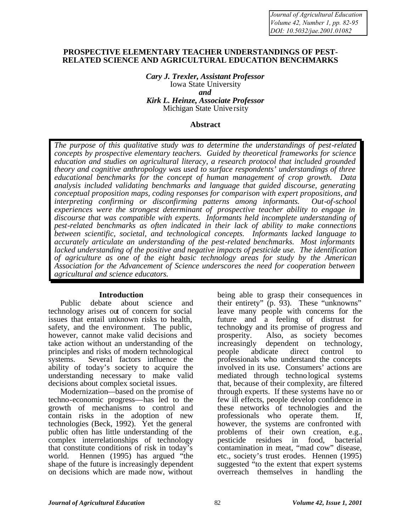*Journal of Agricultural Education Volume 42, Number 1, pp. 82-95 DOI: 10.5032/jae.2001.01082*

#### **PROSPECTIVE ELEMENTARY TEACHER UNDERSTANDINGS OF PEST-RELATED SCIENCE AND AGRICULTURAL EDUCATION BENCHMARKS**

*Cary J. Trexler, Assistant Professor*  Iowa State University *and Kirk L. Heinze, Associate Professor* Michigan State Unive rsity

#### **Abstract**

*The purpose of this qualitative study was to determine the understandings of pest-related concepts by prospective elementary teachers. Guided by theoretical frameworks for science education and studies on agricultural literacy, a research protocol that included grounded theory and cognitive anthropology was used to surface respondents' understandings of three educational benchmarks for the concept of human management of crop growth. Data analysis included validating benchmarks and language that guided discourse, generating conceptual proposition maps, coding responses for comparison with expert propositions, and interpreting confirming or disconfirming patterns among informants. Out-of-school experiences were the strongest determinant of prospective teacher ability to engage in discourse that was compatible with experts. Informants held incomplete understanding of pest-related benchmarks as often indicated in their lack of ability to make connections between scientific, societal, and technological concepts. Informants lacked language to accurately articulate an understanding of the pest-related benchmarks. Most informants lacked understanding of the positive and negative impacts of pesticide use. The identification of agriculture as one of the eight basic technology areas for study by the American Association for the Advancement of Science underscores the need for cooperation between agricultural and science educators.* 

#### **Introduction**

Public debate about science and technology arises out of concern for social issues that entail unknown risks to health, safety, and the environment. The public, however, cannot make valid decisions and take action without an understanding of the principles and risks of modern technological systems. Several factors influence the ability of today's society to acquire the understanding necessary to make valid decisions about complex societal issues.

Modernization—based on the promise of techno-economic progress—has led to the growth of mechanisms to control and contain risks in the adoption of new technologies (Beck, 1992). Yet the general public often has little understanding of the complex interrelationships of technology that constitute conditions of risk in today's world. Hennen (1995) has argued "the shape of the future is increasingly dependent on decisions which are made now, without

being able to grasp their consequences in their entirety"  $(p, 93)$ . These "unknowns" leave many people with concerns for the future and a feeling of distrust for technology and its promise of progress and prosperity. Also, as society becomes increasingly dependent on technology, people abdicate direct control to professionals who understand the concepts involved in its use. Consumers' actions are mediated through technological systems that, because of their complexity, are filtered through experts. If these systems have no or few ill effects, people develop confidence in these networks of technologies and the professionals who operate them. If, however, the systems are confronted with problems of their own creation, e.g., pesticide residues in food, bacterial residues in food, bacterial contamination in meat, "mad cow" disease, etc., society's trust erodes. Hennen (1995) suggested "to the extent that expert systems" overreach themselves in handling the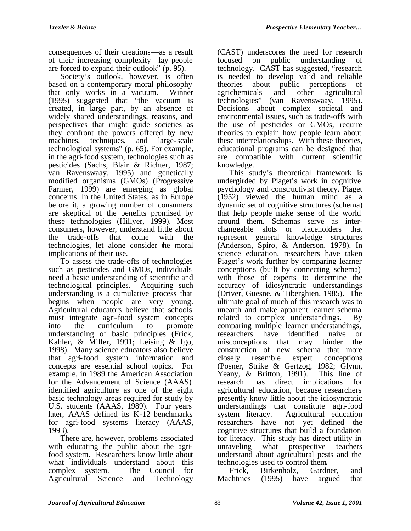consequences of their creations—as a result of their increasing complexity—lay people are forced to expand their outlook" (p. 95).

Society's outlook, however, is often based on a contemporary moral philosophy that only works in a vacuum. Winner (1995) suggested that "the vacuum is created, in large part, by an absence of widely shared understandings, reasons, and perspectives that might guide societies as they confront the powers offered by new machines, techniques, and large-scale technological systems" (p. 65). For example, in the agri-food system, technologies such as pesticides (Sachs, Blair & Richter, 1987; van Ravenswaay, 1995) and genetically modified organisms (GMOs) (Progressive Farmer, 1999) are emerging as global concerns. In the United States, as in Europe before it, a growing number of consumers are skeptical of the benefits promised by these technologies (Hillyer, 1999). Most consumers, however, understand little about the trade-offs that come with the technologies, let alone consider the moral implications of their use.

To assess the trade-offs of technologies such as pesticides and GMOs, individuals need a basic understanding of scientific and technological principles. Acquiring such understanding is a cumulative process that begins when people are very young. Agricultural educators believe that schools must integrate agri-food system concepts into the curriculum to promote understanding of basic principles (Frick, Kahler, & Miller, 1991; Leising & Igo, 1998). Many science educators also believe that agri-food system information and concepts are essential school topics. For example, in 1989 the American Association for the Advancement of Science (AAAS) identified agriculture as one of the eight basic technology areas required for study by U.S. students (AAAS, 1989). Four years later, AAAS defined its K-12 benchmarks for agri-food systems literacy (AAAS, 1993).

There are, however, problems associated with educating the public about the agrifood system. Researchers know little about what individuals understand about this complex system. The Council for Agricultural Science and Technology

(CAST) underscores the need for research focused on public understanding of technology. CAST has suggested, "research is needed to develop valid and reliable theories about public perceptions of<br>agrichemicals and other agricultural agrichemicals and other agricultural technologies" (van Ravenswaay, 1995). Decisions about complex societal and environmental issues, such as trade-offs with the use of pesticides or GMOs, require theories to explain how people learn about these interrelationships. With these theories, educational programs can be designed that are compatible with current scientific knowledge.

This study's theoretical framework is undergirded by Piaget's work in cognitive psychology and constructivist theory. Piaget (1952) viewed the human mind as a dynamic set of cognitive structures (schema) that help people make sense of the world around them. Schemas serve as interchangeable slots or placeholders that represent general knowledge structures (Anderson, Spiro, & Anderson, 1978). In science education, researchers have taken Piaget's work further by comparing learner conceptions (built by connecting schema) with those of experts to determine the accuracy of idiosyncratic understandings (Driver, Guesne, & Tiberghien, 1985). The ultimate goal of much of this research was to unearth and make apparent learner schema related to complex understandings. By comparing multiple learner understandings, researchers have identified naive or misconceptions that may hinder the construction of new schema that more closely resemble expert conceptions (Posner, Strike & Gertzog, 1982; Glynn, Yeany, & Britton, 1991). This line of research has direct implications for agricultural education, because researchers presently know little about the idiosyncratic understandings that constitute agri-food system literacy. Agricultural education researchers have not yet defined the cognitive structures that build a foundation for literacy. This study has direct utility in unraveling what prospective teachers understand about agricultural pests and the technologies used to control them**.**

Frick, Birkenholz, Gardner, and Machtmes (1995) have argued that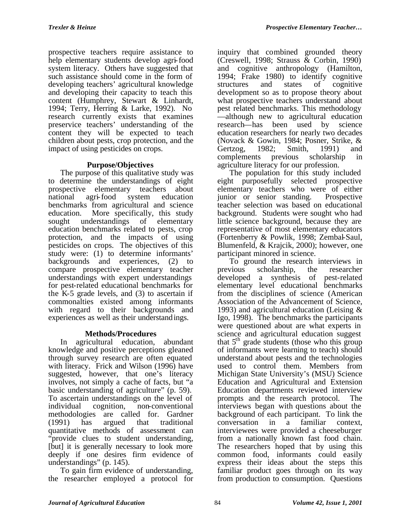prospective teachers require assistance to help elementary students develop agri-food system literacy. Others have suggested that such assistance should come in the form of developing teachers' agricultural knowledge and developing their capacity to teach this content (Humphrey, Stewart & Linhardt, 1994; Terry, Herring & Larke, 1992). No research currently exists that examines preservice teachers' understanding of the content they will be expected to teach children about pests, crop protection, and the impact of using pesticides on crops.

# **Purpose/Objectives**

The purpose of this qualitative study was to determine the understandings of eight prospective elementary teachers about national agri-food system education benchmarks from agricultural and science education. More specifically, this study sought understandings of elementary education benchmarks related to pests, crop protection, and the impacts of using pesticides on crops. The objectives of this study were: (1) to determine informants' backgrounds and experiences, (2) to compare prospective elementary teacher understandings with expert understandings for pest-related educational benchmarks for the K-5 grade levels, and (3) to ascertain if commonalties existed among informants with regard to their backgrounds and experiences as well as their understandings.

# **Methods/Procedures**

In agricultural education, abundant knowledge and positive perceptions gleaned through survey research are often equated with literacy. Frick and Wilson (1996) have suggested, however, that one's literacy involves, not simply a cache of facts, but "a basic understanding of agriculture" (p. 59). To ascertain understandings on the level of individual cognition, non-conventional methodologies are called for. Gardner (1991) has argued that traditional quantitative methods of assessment can provide clues to student understanding, [but] it is generally necessary to look more deeply if one desires firm evidence of understandings" (p. 145).

To gain firm evidence of understanding, the researcher employed a protocol for

inquiry that combined grounded theory (Creswell, 1998; Strauss  $\&$  Corbin, 1990) and cognitive anthropology (Hamilton, 1994; Frake 1980) to identify cognitive structures and states of cognitive development so as to propose theory about what prospective teachers understand about pest related benchmarks. This methodology —although new to agricultural education research—has been used by science education researchers for nearly two decades (Novack & Gowin, 1984; Posner, Strike, & Gertzog, 1982; Smith, 1991) and complements previous scholarship in agriculture literacy for our profession.

The population for this study included eight purposefully selected prospective elementary teachers who were of either junior or senior standing. Prospective teacher selection was based on educational background. Students were sought who had little science background, because they are representative of most elementary educators (Fortenberry & Powlik, 1998; Zembal-Saul, Blumenfeld, & Krajcik, 2000); however, one participant minored in science.

To ground the research interviews in previous scholarship, the researcher developed a synthesis of pest-related elementary level educational benchmarks from the disciplines of science (American Association of the Advancement of Science, 1993) and agricultural education (Leising & Igo, 1998). The benchmarks the participants were questioned about are what experts in science and agricultural education suggest that  $5<sup>th</sup>$  grade students (those who this group of informants were learning to teach) should understand about pests and the technologies used to control them. Members from Michigan State University's (MSU) Science Education and Agricultural and Extension Education departments reviewed interview prompts and the research protocol. The interviews began with questions about the background of each participant. To link the conversation in a familiar context, interviewees were provided a cheeseburger from a nationally known fast food chain. The researchers hoped that by using this common food, informants could easily express their ideas about the steps this familiar product goes through on its way from production to consumption. Questions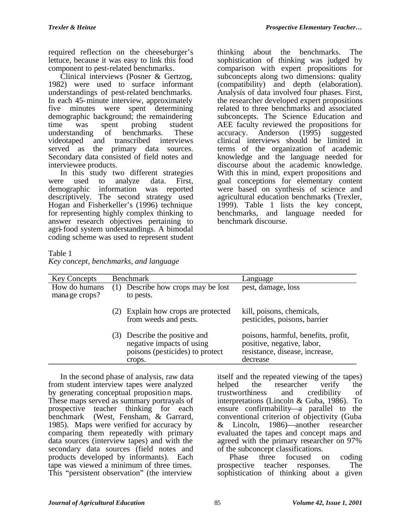required reflection on the cheeseburger's lettuce, because it was easy to link this food component to pest-related benchmarks.

Clinical interviews (Posner & Gertzog, 1982) were used to surface informant understandings of pest-related benchmarks. In each 45-minute interview, approximately five minutes were spent determining demographic background; the remaindering time was spent probing student understanding of benchmarks. These videotaped and transcribed interviews served as the primary data sources. Secondary data consisted of field notes and interviewee products.

In this study two different strategies<br>e used to analyze data. First, were used to analyze data. First, demographic information was reported descriptively. The second strategy used Hogan and Fisherkeller's (1996) technique for representing highly complex thinking to answer research objectives pertaining to agri-food system understandings. A bimodal coding scheme was used to represent student

thinking about the benchmarks. The sophistication of thinking was judged by comparison with expert propositions for subconcepts along two dimensions: quality (compatibility) and depth (elaboration). Analysis of data involved four phases. First, the researcher developed expert propositions related to three benchmarks and associated subconcepts. The Science Education and AEE faculty reviewed the propositions for accuracy. Anderson (1995) suggested clinical interviews should be limited in terms of the organization of academic knowledge and the language needed for discourse about the academic knowledge. With this in mind, expert propositions and goal conceptions for elementary content were based on synthesis of science and agricultural education benchmarks (Trexler, 1999). Table 1 lists the key concept, benchmarks, and language needed for benchmark discourse.

# Table 1

|  |  | Key concept, benchmarks, and language |
|--|--|---------------------------------------|
|--|--|---------------------------------------|

| <b>Key Concepts</b>             | <b>Benchmark</b>                                                                                           | Language                                                                                                        |
|---------------------------------|------------------------------------------------------------------------------------------------------------|-----------------------------------------------------------------------------------------------------------------|
| How do humans<br>mana ge crops? | Describe how crops may be lost<br>to pests.                                                                | pest, damage, loss                                                                                              |
|                                 | Explain how crops are protected<br>(2)<br>from weeds and pests.                                            | kill, poisons, chemicals,<br>pesticides, poisons, barrier                                                       |
|                                 | Describe the positive and<br>(3)<br>negative impacts of using<br>poisons (pesticides) to protect<br>crops. | poisons, harmful, benefits, profit,<br>positive, negative, labor,<br>resistance, disease, increase,<br>decrease |

In the second phase of analysis, raw data from student interview tapes were analyzed by generating conceptual proposition maps. These maps served as summary portrayals of prospective teacher thinking for each benchmark (West, Fensham, & Garrard, 1985). Maps were verified for accuracy by comparing them repeatedly with primary data sources (interview tapes) and with the secondary data sources (field notes and products developed by informants). Each tape was viewed a minimum of three times. This "persistent observation" (the interview

itself and the repeated viewing of the tapes) helped the researcher verify the trustworthiness and credibility of interpretations (Lincoln & Guba, 1986). To ensure confirmability—a parallel to the conventional criterion of objectivity (Guba & Lincoln, 1986)—another researcher evaluated the tapes and concept maps and agreed with the primary researcher on 97% of the subconcept classifications.<br>Phase three focused of

focused on coding prospective teacher responses. The sophistication of thinking about a given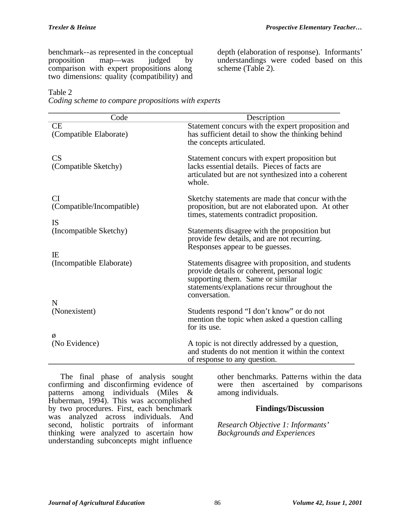benchmark--as represented in the conceptual<br>proposition map—was iudged by proposition map—was judged by comparison with expert propositions along two dimensions: quality (compatibility) and

depth (elaboration of response). Informants' understandings were coded based on this scheme (Table 2).

### Table 2

*Coding scheme to compare propositions with experts*

| Code                                                | Description                                                                                                                                                                                            |
|-----------------------------------------------------|--------------------------------------------------------------------------------------------------------------------------------------------------------------------------------------------------------|
| <b>CE</b><br>(Compatible Elaborate)                 | Statement concurs with the expert proposition and<br>has sufficient detail to show the thinking behind<br>the concepts articulated.                                                                    |
| CS<br>(Compatible Sketchy)                          | Statement concurs with expert proposition but<br>lacks essential details. Pieces of facts are<br>articulated but are not synthesized into a coherent<br>whole.                                         |
| <b>CI</b><br>(Compatible/Incompatible)<br><b>IS</b> | Sketchy statements are made that concur with the<br>proposition, but are not elaborated upon. At other<br>times, statements contradict proposition.                                                    |
| (Incompatible Sketchy)                              | Statements disagree with the proposition but<br>provide few details, and are not recurring.<br>Responses appear to be guesses.                                                                         |
| IE<br>(Incompatible Elaborate)<br>N                 | Statements disagree with proposition, and students<br>provide details or coherent, personal logic<br>supporting them. Same or similar<br>statements/explanations recur throughout the<br>conversation. |
| (Nonexistent)                                       | Students respond "I don't know" or do not<br>mention the topic when asked a question calling<br>for its use.                                                                                           |
| Ø<br>(No Evidence)                                  | A topic is not directly addressed by a question,<br>and students do not mention it within the context<br>of response to any question.                                                                  |

The final phase of analysis sought confirming and disconfirming evidence of patterns among individuals (Miles & Huberman, 1994). This was accomplished by two procedures. First, each benchmark was analyzed across individuals. And second, holistic portraits of informant thinking were analyzed to ascertain how understanding subconcepts might influence

other benchmarks. Patterns within the data were then ascertained by comparisons among individuals.

# **Findings/Discussion**

*Research Objective 1: Informants' Backgrounds and Experiences*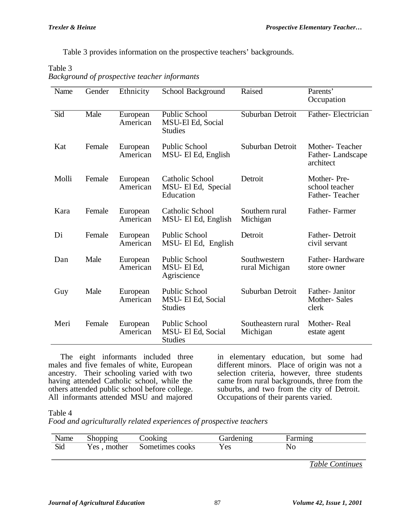Table 3 provides information on the prospective teachers' backgrounds.

### Table 3

| L'ault J |                                              |  |
|----------|----------------------------------------------|--|
|          | Background of prospective teacher informants |  |

| Name  | Gender | Ethnicity            | School Background                                           | Raised                         | Parents'<br>Occupation                          |
|-------|--------|----------------------|-------------------------------------------------------------|--------------------------------|-------------------------------------------------|
| Sid   | Male   | European<br>American | <b>Public School</b><br>MSU-El Ed, Social<br><b>Studies</b> | Suburban Detroit               | Father-Electrician                              |
| Kat   | Female | European<br>American | Public School<br>MSU- El Ed, English                        | Suburban Detroit               | Mother-Teacher<br>Father-Landscape<br>architect |
| Molli | Female | European<br>American | Catholic School<br>MSU- El Ed, Special<br>Education         | Detroit                        | Mother-Pre-<br>school teacher<br>Father-Teacher |
| Kara  | Female | European<br>American | <b>Catholic School</b><br>MSU- El Ed, English               | Southern rural<br>Michigan     | Father-Farmer                                   |
| Di    | Female | European<br>American | Public School<br>MSU- El Ed, English                        | Detroit                        | Father-Detroit<br>civil servant                 |
| Dan   | Male   | European<br>American | Public School<br>MSU-El Ed,<br>Agriscience                  | Southwestern<br>rural Michigan | Father-Hardware<br>store owner                  |
| Guy   | Male   | European<br>American | Public School<br>MSU- El Ed, Social<br><b>Studies</b>       | Suburban Detroit               | Father- Janitor<br>Mother-Sales<br>clerk        |
| Meri  | Female | European<br>American | Public School<br>MSU- El Ed, Social<br><b>Studies</b>       | Southeastern rural<br>Michigan | Mother-Real<br>estate agent                     |

The eight informants included three males and five females of white, European ancestry. Their schooling varied with two having attended Catholic school, while the others attended public school before college. All informants attended MSU and majored

in elementary education, but some had different minors. Place of origin was not a selection criteria, however, three students came from rural backgrounds, three from the suburbs, and two from the city of Detroit. Occupations of their parents varied.

Table 4

*Food and agriculturally related experiences of prospective teachers*

| Name | Shopping    | boking          | Gardening  | Farmıng |  |
|------|-------------|-----------------|------------|---------|--|
| Sid  | Yes, mother | Sometimes cooks | <b>Yes</b> | No      |  |

*Table Continues*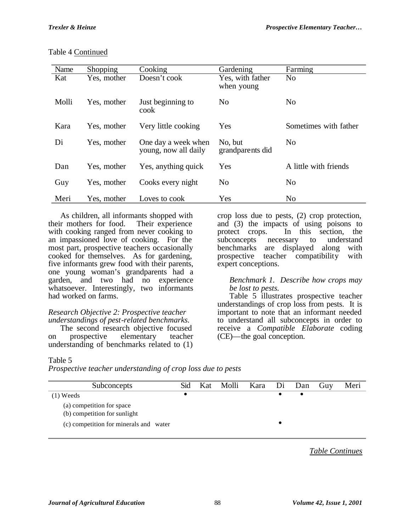### Table 4 Continued

| Name  | <b>Shopping</b> | Cooking                                     | Gardening                      | Farming               |
|-------|-----------------|---------------------------------------------|--------------------------------|-----------------------|
| Kat   | Yes, mother     | Doesn't cook                                | Yes, with father<br>when young | N <sub>0</sub>        |
| Molli | Yes, mother     | Just beginning to<br>cook                   | N <sub>0</sub>                 | N <sub>0</sub>        |
| Kara  | Yes, mother     | Very little cooking                         | Yes                            | Sometimes with father |
| Di    | Yes, mother     | One day a week when<br>young, now all daily | No, but<br>grandparents did    | N <sub>0</sub>        |
| Dan   | Yes, mother     | Yes, anything quick                         | Yes                            | A little with friends |
| Guy   | Yes, mother     | Cooks every night                           | N <sub>o</sub>                 | N <sub>0</sub>        |
| Meri  | Yes, mother     | Loves to cook                               | Yes                            | N <sub>0</sub>        |

As children, all informants shopped with<br>in mothers for food. Their experience their mothers for food. with cooking ranged from never cooking to an impassioned love of cooking. For the most part, prospective teachers occasionally cooked for themselves. As for gardening, five informants grew food with their parents, one young woman's grandparents had a garden, and two had no experience whatsoever. Interestingly, two informants had worked on farms.

### *Research Objective 2: Prospective teacher understandings of pest-related benchmarks.*

The second research objective focused on prospective elementary teacher understanding of benchmarks related to (1)

#### crop loss due to pests, (2) crop protection, and (3) the impacts of using poisons to protect crops. In this section, the subconcepts necessary to understand necessary to understand benchmarks are displayed along with prospective teacher compatibility with expert conceptions.

### *Benchmark 1. Describe how crops may be lost to pests.*

Table 5 illustrates prospective teacher understandings of crop loss from pests. It is important to note that an informant needed to understand all subconcepts in order to receive a *Compatible Elaborate* coding (CE)—the goal conception.

# Table 5

*Prospective teacher understanding of crop loss due to pests*

| Subconcepts                                               | Sid | Kat | Molli Kara Di Dan |  | Guy | Meri |
|-----------------------------------------------------------|-----|-----|-------------------|--|-----|------|
| $(1)$ Weeds                                               |     |     |                   |  |     |      |
| (a) competition for space<br>(b) competition for sunlight |     |     |                   |  |     |      |
| (c) competition for minerals and water                    |     |     |                   |  |     |      |
|                                                           |     |     |                   |  |     |      |

*Table Continues*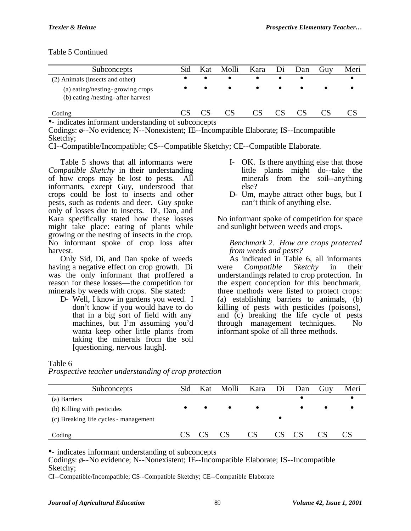### Table 5 Continued

| Subconcepts                                                            | Sid | Kat | Molli |           |           | Kara Di Dan | Guy | Meri |
|------------------------------------------------------------------------|-----|-----|-------|-----------|-----------|-------------|-----|------|
| (2) Animals (insects and other)                                        |     |     |       | $\bullet$ |           |             |     |      |
| (a) eating/nesting-growing crops<br>(b) eating /nesting- after harvest |     |     |       | $\bullet$ | $\bullet$ |             |     |      |
| Coding                                                                 |     |     |       | CS        |           |             |     |      |

•- indicates informant understanding of subconcepts

Codings: ø--No evidence; N--Nonexistent; IE--Incompatible Elaborate; IS--Incompatible Sketchy;

CI--Compatible/Incompatible; CS--Compatible Sketchy; CE--Compatible Elaborate.

Table 5 shows that all informants were *Compatible Sketchy* in their understanding of how crops may be lost to pests. All informants, except Guy, understood that crops could be lost to insects and other pests, such as rodents and deer. Guy spoke only of losses due to insects. Di, Dan, and Kara specifically stated how these losses might take place: eating of plants while growing or the nesting of insects in the crop. No informant spoke of crop loss after harvest.

Only Sid, Di, and Dan spoke of weeds having a negative effect on crop growth. Di was the only informant that proffered a reason for these losses—the competition for minerals by weeds with crops. She stated:

D- Well, I know in gardens you weed. I don't know if you would have to do that in a big sort of field with any machines, but I'm assuming you'd wanta keep other little plants from taking the minerals from the soil [questioning, nervous laugh].

- I- OK. Is there anything else that those little plants might do--take the minerals from the soil--anything else?
- D- Um, maybe attract other bugs, but I can't think of anything else.

No informant spoke of competition for space and sunlight between weeds and crops.

### *Benchmark 2. How are crops protected from weeds and pests?*

As indicated in Table 6, all informants were *Compatible Sketchy* in their understandings related to crop protection. In the expert conception for this benchmark, three methods were listed to protect crops: (a) establishing barriers to animals, (b) killing of pests with pesticides (poisons), and (c) breaking the life cycle of pests through management techniques. No informant spoke of all three methods.

### Table 6

*Prospective teacher understanding of crop protection*

| Subconcepts                           | Sid | Kat       | Molli     | Kara Di Dan |  | Guy | Meri |
|---------------------------------------|-----|-----------|-----------|-------------|--|-----|------|
| (a) Barriers                          |     |           |           |             |  |     |      |
| (b) Killing with pesticides           |     | $\bullet$ | $\bullet$ |             |  |     |      |
| (c) Breaking life cycles - management |     |           |           |             |  |     |      |
| Coding                                |     |           |           |             |  |     |      |

•- indicates informant understanding of subconcepts

Codings: ø--No evidence; N--Nonexistent; IE--Incompatible Elaborate; IS--Incompatible Sketchy;

CI--Compatible/Incompatible; CS--Compatible Sketchy; CE--Compatible Elaborate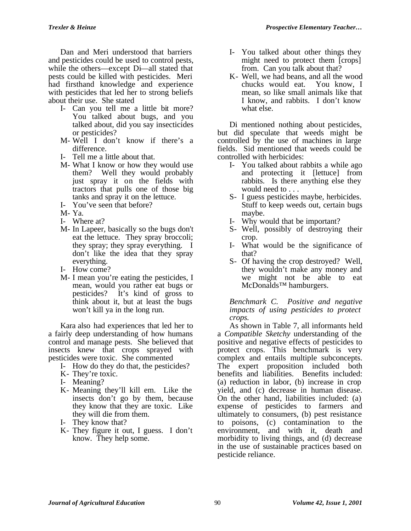Dan and Meri understood that barriers and pesticides could be used to control pests, while the others—except Di—all stated that pests could be killed with pesticides. Meri had firsthand knowledge and experience with pesticides that led her to strong beliefs about their use. She stated

- I- Can you tell me a little bit more? You talked about bugs, and you talked about, did you say insecticides or pesticides?
- M- Well I don't know if there's a difference.
- I- Tell me a little about that.
- M- What I know or how they would use them? Well they would probably just spray it on the fields with tractors that pulls one of those big tanks and spray it on the lettuce.
- I- You've seen that before?
- M- Ya.
- I- Where at?
- M- In Lapeer, basically so the bugs don't eat the lettuce. They spray broccoli; they spray; they spray everything. I don't like the idea that they spray everything.
- I- How come?
- M- I mean you're eating the pesticides, I mean, would you rather eat bugs or pesticides? It's kind of gross to think about it, but at least the bugs won't kill ya in the long run.

Kara also had experiences that led her to a fairly deep understanding of how humans control and manage pests. She believed that insects knew that crops sprayed with pesticides were toxic. She commented

- I- How do they do that, the pesticides?
- K- They're toxic.
- I- Meaning?
- K- Meaning they'll kill em. Like the insects don't go by them, because they know that they are toxic. Like they will die from them.
- I- They know that?
- K- They figure it out, I guess. I don't know. They help some.
- I- You talked about other things they might need to protect them [crops] from. Can you talk about that?
- K- Well, we had beans, and all the wood<br>chucks would eat. You know. I chucks would eat. mean, so like small animals like that I know, and rabbits. I don't know what else.

Di mentioned nothing about pesticides, but did speculate that weeds might be controlled by the use of machines in large fields. Sid mentioned that weeds could be controlled with herbicides:

- I- You talked about rabbits a while ago and protecting it [lettuce] from rabbits. Is there anything else they would need to . . .
- S- I guess pesticides maybe, herbicides. Stuff to keep weeds out, certain bugs maybe.
- I- Why would that be important?
- S- Well, possibly of destroying their crop.
- I- What would be the significance of that?
- S- Of having the crop destroyed? Well, they wouldn't make any money and we might not be able to eat McDonalds™ hamburgers.

*Benchmark C. Positive and negative impacts of using pesticides to protect crops.*

As shown in Table 7, all informants held a *Compatible Sketchy* understanding of the positive and negative effects of pesticides to protect crops. This benchmark is very complex and entails multiple subconcepts. The expert proposition included both benefits and liabilities. Benefits included: (a) reduction in labor, (b) increase in crop yield, and (c) decrease in human disease. On the other hand, liabilities included: (a) expense of pesticides to farmers and ultimately to consumers, (b) pest resistance to poisons, (c) contamination to the environment, and with it, death and morbidity to living things, and (d) decrease in the use of sustainable practices based on pesticide reliance.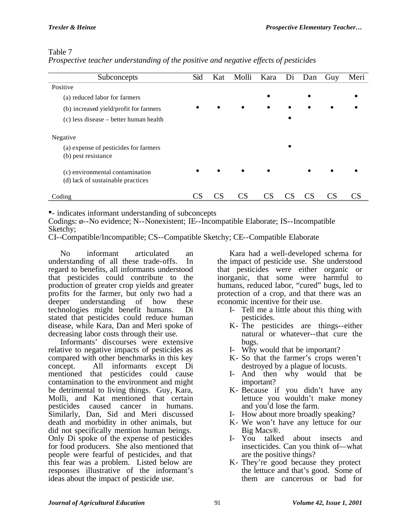# Table 7

| Prospective teacher understanding of the positive and negative effects of pesticides |  |  |  |  |  |  |  |  |
|--------------------------------------------------------------------------------------|--|--|--|--|--|--|--|--|
|--------------------------------------------------------------------------------------|--|--|--|--|--|--|--|--|

| Subconcepts                                                          | Sid | Kat | Molli     | Kara      | Di        | Dan | Guy | Meri |
|----------------------------------------------------------------------|-----|-----|-----------|-----------|-----------|-----|-----|------|
| Positive                                                             |     |     |           |           |           |     |     |      |
| (a) reduced labor for farmers                                        |     |     |           |           |           |     |     |      |
| (b) increased yield/profit for farmers                               |     |     |           | $\bullet$ |           |     |     |      |
| (c) less disease – better human health                               |     |     |           |           | $\bullet$ |     |     |      |
| Negative                                                             |     |     |           |           |           |     |     |      |
| (a) expense of pesticides for farmers<br>(b) pest resistance         |     |     |           |           |           |     |     |      |
| (c) environmental contamination<br>(d) lack of sustainable practices |     |     | $\bullet$ | $\bullet$ |           |     |     |      |
| Coding                                                               |     | CS  | CS        | CS        |           |     |     |      |

•- indicates informant understanding of subconcepts

Codings: ø--No evidence; N--Nonexistent; IE--Incompatible Elaborate; IS--Incompatible Sketchy;

CI--Compatible/Incompatible; CS--Compatible Sketchy; CE--Compatible Elaborate

No informant articulated an understanding of all these trade-offs. In regard to benefits, all informants understood that pesticides could contribute to the production of greater crop yields and greater profits for the farmer, but only two had a deeper understanding of how these technologies might benefit humans. Di stated that pesticides could reduce human disease, while Kara, Dan and Meri spoke of decreasing labor costs through their use.

Informants' discourses were extensive relative to negative impacts of pesticides as compared with other benchmarks in this key concept. All informants except Di mentioned that pesticides could cause contamination to the environment and might be detrimental to living things. Guy, Kara, Molli, and Kat mentioned that certain pesticides caused cancer in humans. Similarly, Dan, Sid and Meri discussed death and morbidity in other animals, but did not specifically mention human beings. Only Di spoke of the expense of pesticides for food producers. She also mentioned that people were fearful of pesticides, and that this fear was a problem. Listed below are responses illustrative of the informant's ideas about the impact of pesticide use.

Kara had a well-developed schema for the impact of pesticide use. She understood that pesticides were either organic or inorganic, that some were harmful to humans, reduced labor, "cured" bugs, led to protection of a crop, and that there was an economic incentive for their use.

- I- Tell me a little about this thing with pesticides.
- K- The pesticides are things--either natural or whatever--that cure the bugs.
- I- Why would that be important?
- K- So that the farmer's crops weren't destroyed by a plague of locusts.
- I- And then why would that be important?
- K- Because if you didn't have any lettuce you wouldn't make money and you'd lose the farm.
- I- How about more broadly speaking?
- K- We won't have any lettuce for our Big Macs®.
- I- You talked about insects and insecticides. Can you think of—what are the positive things?
- K- They're good because they protect the lettuce and that's good. Some of them are cancerous or bad for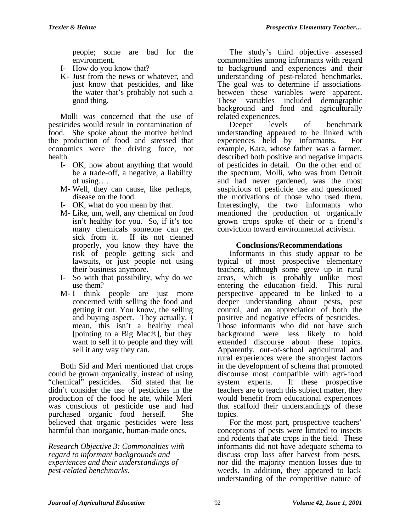people; some are bad for the environment.

- I- How do you know that?
- K- Just from the news or whatever, and just know that pesticides, and like the water that's probably not such a good thing.

Molli was concerned that the use of pesticides would result in contamination of food. She spoke about the motive behind the production of food and stressed that economics were the driving force, not health.

- I- OK, how about anything that would be a trade-off, a negative, a liability of using….
- M- Well, they can cause, like perhaps, disease on the food.
- I- OK, what do you mean by that.
- M- Like, um, well, any chemical on food isn't healthy for you. So, if it's too many chemicals someone can get sick from it. If its not cleaned properly, you know they have the risk of people getting sick and lawsuits, or just people not using their business anymore.
- I- So with that possibility, why do we use them?
- M- I think people are just more concerned with selling the food and getting it out. You know, the selling and buying aspect. They actually, I mean, this isn't a healthy meal [pointing to a Big Mac®], but they want to sell it to people and they will sell it any way they can.

Both Sid and Meri mentioned that crops could be grown organically, instead of using "chemical" pesticides. Sid stated that he didn't consider the use of pesticides in the production of the food he ate, while Meri was conscious of pesticide use and had purchased organic food herself. She believed that organic pesticides were less harmful than inorganic, human-made ones.

*Research Objective 3: Commonalties with regard to informant backgrounds and experiences and their understandings of pest-related benchmarks.*

The study's third objective assessed commonalties among informants with regard to background and experiences and their understanding of pest-related benchmarks. The goal was to determine if associations between these variables were apparent. These variables included demographic background and food and agriculturally

related experiences.<br>Deeper levels Deeper levels of benchmark understanding appeared to be linked with experiences held by informants. For example, Kara, whose father was a farmer, described both positive and negative impacts of pesticides in detail. On the other end of the spectrum, Molli, who was from Detroit and had never gardened, was the most suspicious of pesticide use and questioned the motivations of those who used them. Interestingly, the two informants who mentioned the production of organically grown crops spoke of their or a friend's conviction toward environmental activism.

# **Conclusions/Recommendations**

Informants in this study appear to be typical of most prospective elementary teachers, although some grew up in rural areas, which is probably unlike most entering the education field. This rural perspective appeared to be linked to a deeper understanding about pests, pest control, and an appreciation of both the positive and negative effects of pesticides. Those informants who did not have such background were less likely to hold extended discourse about these topics. Apparently, out-of-school agricultural and rural experiences were the strongest factors in the development of schema that promoted discourse most compatible with agri-food system experts. If these prospective teachers are to teach this subject matter, they would benefit from educational experiences that scaffold their understandings of these topics.

For the most part, prospective teachers' conceptions of pests were limited to insects and rodents that ate crops in the field. These informants did not have adequate schema to discuss crop loss after harvest from pests, nor did the majority mention losses due to weeds. In addition, they appeared to lack understanding of the competitive nature of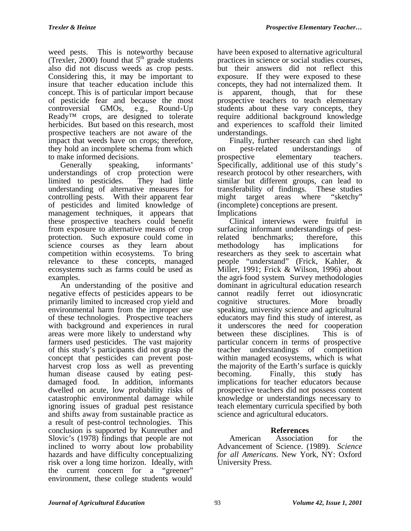weed pests. This is noteworthy because (Trexler, 2000) found that  $5<sup>th</sup>$  grade students also did not discuss weeds as crop pests. Considering this, it may be important to insure that teacher education include this concept. This is of particular import because of pesticide fear and because the most controversial GMOs, e.g., Round-Up Ready™ crops, are designed to tolerate herbicides. But based on this research, most prospective teachers are not aware of the impact that weeds have on crops; therefore, they hold an incomplete schema from which to make informed decisions.<br>Generally speaking.

speaking, informants' understandings of crop protection were<br>limited to pesticides. They had little limited to pesticides. understanding of alternative measures for controlling pests. With their apparent fear of pesticides and limited knowledge of management techniques, it appears that these prospective teachers could benefit from exposure to alternative means of crop protection. Such exposure could come in science courses as they learn about competition within ecosystems. To bring relevance to these concepts, managed ecosystems such as farms could be used as examples.

An understanding of the positive and negative effects of pesticides appears to be primarily limited to increased crop yield and environmental harm from the improper use of these technologies. Prospective teachers with background and experiences in rural areas were more likely to understand why farmers used pesticides. The vast majority of this study's participants did not grasp the concept that pesticides can prevent postharvest crop loss as well as preventing human disease caused by eating pest-<br>damaged food. In addition, informants In addition, informants dwelled on acute, low probability risks of catastrophic environmental damage while ignoring issues of gradual pest resistance and shifts away from sustainable practice as a result of pest-control technologies. This conclusion is supported by Kunreuther and Slovic's (1978) findings that people are not inclined to worry about low probability hazards and have difficulty conceptualizing risk over a long time horizon. Ideally, with the current concern for a "greener" environment, these college students would

have been exposed to alternative agricultural practices in science or social studies courses, but their answers did not reflect this exposure. If they were exposed to these concepts, they had not internalized them. It is apparent, though, that for these prospective teachers to teach elementary students about these vary concepts, they require additional background knowledge and experiences to scaffold their limited understandings.

Finally, further research can shed light on pest-related understandings of prospective elementary teachers. Specifically, additional use of this study's research protocol by other researchers, with similar but different groups, can lead to transferability of findings. These studies might target areas where "sketchy" (incomplete) conceptions are present. Implications

Clinical interviews were fruitful in surfacing informant understandings of pestrelated benchmarks; therefore, this methodology has implications for researchers as they seek to ascertain what people "understand" (Frick, Kahler, & Miller, 1991; Frick & Wilson, 1996) about the agri-food system. Survey methodologies dominant in agricultural education research cannot readily ferret out idiosyncratic<br>cognitive structures. More broadly cognitive structures. More broadly speaking, university science and agricultural educators may find this study of interest, as it underscores the need for cooperation between these disciplines. This is of particular concern in terms of prospective teacher understandings of competition within managed ecosystems, which is what the majority of the Earth's surface is quickly becoming. Finally, this study has implications for teacher educators because prospective teachers did not possess content knowledge or understandings necessary to teach elementary curricula specified by both science and agricultural educators.

# **References**

American Association for the Advancement of Science. (1989). *Science for all Americans*. New York, NY: Oxford University Press.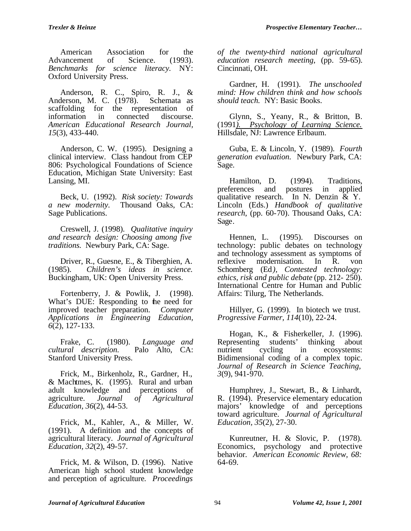American Association for the<br>vancement of Science. (1993). Advancement of *Benchmarks for science literacy.* NY: Oxford University Press.

Anderson, R. C., Spiro, R. J., & Anderson, M. C. (1978). Schemata as scaffolding for the representation of information in connected discourse. *American Educational Research Journal, 15*(3), 433-440.

Anderson, C. W. (1995). Designing a clinical interview. Class handout from CEP 806: Psychological Foundations of Science Education, Michigan State University: East Lansing, MI.

Beck, U. (1992). *Risk society: Towards a new modernity.* Thousand Oaks, CA: Sage Publications.

Creswell, J. (1998). *Qualitative inquiry and research design: Choosing among five traditions.* Newbury Park, CA: Sage.

Driver, R., Guesne, E., & Tiberghien, A. (1985). Children's ideas in science. (1985). *Children's ideas in science.* Buckingham, UK: Open University Press.

Fortenberry, J. & Powlik, J. (1998). What's DUE: Responding to the need for improved teacher preparation. *Computer Applications in Engineering Education, 6*(2), 127-133.

Frake, C. (1980). *Language and cultural description.* Stanford University Press.

Frick, M., Birkenholz, R., Gardner, H., & Machtmes, K. (1995). Rural and urban adult knowledge and perceptions of agriculture. *Journal of Agricultural Education, 36*(2), 44-53.

Frick, M., Kahler, A., & Miller, W. (1991). A definition and the concepts of agricultural literacy. *Journal of Agricultural Education, 32*(2), 49-57.

Frick, M. & Wilson, D. (1996). Native American high school student knowledge and perception of agriculture*. Proceedings*

*of the twenty-third national agricultural education research meeting*, (pp. 59-65). Cincinnati, OH.

Gardner, H. (1991). *The unschooled mind: How children think and how schools should teach.* NY: Basic Books.

Glynn, S., Yeany, R., & Britton, B. (1991*). Psychology of Learning Science.* Hillsdale, NJ: Lawrence Erlbaum.

Guba, E. & Lincoln, Y. (1989). *Fourth generation evaluation.* Newbury Park, CA: Sage.

Hamilton, D. (1994). Traditions,<br>ferences and postures in applied preferences and postures in applied qualitative research. In N. Denzin  $\&$  Y. Lincoln (Eds.) *Handbook of qualitative research*, (pp. 60-70). Thousand Oaks, CA: Sage.

Hennen, L. (1995). Discourses on technology: public debates on technology and technology assessment as symptoms of reflexive modernisation. In R. von Schomberg (Ed*), Contested technology: ethics, risk and public debate* (pp. 212- 250). International Centre for Human and Public Affairs: Tilurg, The Netherlands.

Hillyer, G. (1999). In biotech we trust. *Progressive Farmer, 114*(10), 22-24.

Hogan, K., & Fisherkeller, J. (1996). Representing students' thinking about<br>nutrient cycling in ecosystems: ecosystems: Bidimensional coding of a complex topic. *Journal of Research in Science Teaching, 3*(9), 941-970.

Humphrey, J., Stewart, B., & Linhardt, R. (1994). Preservice elementary education majors' knowledge of and perceptions toward agriculture. *Journal of Agricultural Education, 35*(2), 27-30.

Kunreutner, H. & Slovic, P. (1978). Economics, psychology and protective behavior. *American Economic Review, 68:* 64-69.